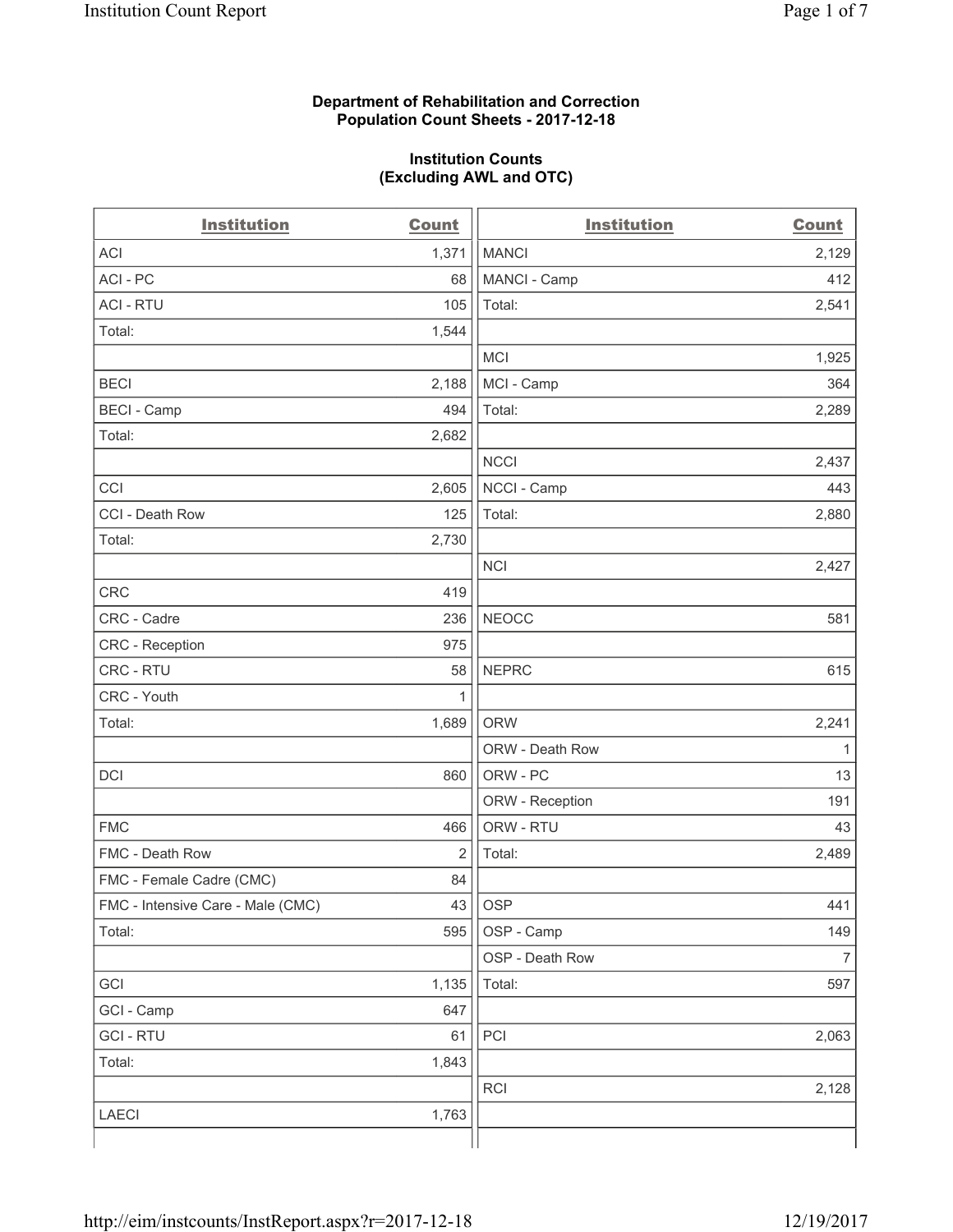### **Department of Rehabilitation and Correction Population Count Sheets - 2017-12-18**

#### **Institution Counts (Excluding AWL and OTC)**

| <b>Institution</b>                | <b>Count</b> | <b>Institution</b> | <b>Count</b>   |
|-----------------------------------|--------------|--------------------|----------------|
| <b>ACI</b>                        | 1,371        | <b>MANCI</b>       | 2,129          |
| ACI-PC                            | 68           | MANCI - Camp       | 412            |
| <b>ACI - RTU</b>                  | 105          | Total:             | 2,541          |
| Total:                            | 1,544        |                    |                |
|                                   |              | <b>MCI</b>         | 1,925          |
| <b>BECI</b>                       | 2,188        | MCI - Camp         | 364            |
| <b>BECI - Camp</b>                | 494          | Total:             | 2,289          |
| Total:                            | 2,682        |                    |                |
|                                   |              | <b>NCCI</b>        | 2,437          |
| CCI                               | 2,605        | NCCI - Camp        | 443            |
| CCI - Death Row                   | 125          | Total:             | 2,880          |
| Total:                            | 2,730        |                    |                |
|                                   |              | <b>NCI</b>         | 2,427          |
| <b>CRC</b>                        | 419          |                    |                |
| CRC - Cadre                       | 236          | <b>NEOCC</b>       | 581            |
| CRC - Reception                   | 975          |                    |                |
| CRC - RTU                         | 58           | <b>NEPRC</b>       | 615            |
| CRC - Youth                       | 1            |                    |                |
| Total:                            | 1,689        | <b>ORW</b>         | 2,241          |
|                                   |              | ORW - Death Row    | 1              |
| DCI                               | 860          | ORW - PC           | 13             |
|                                   |              | ORW - Reception    | 191            |
| <b>FMC</b>                        | 466          | ORW - RTU          | 43             |
| FMC - Death Row                   | 2            | Total:             | 2,489          |
| FMC - Female Cadre (CMC)          | 84           |                    |                |
| FMC - Intensive Care - Male (CMC) | 43           | OSP                | 441            |
| Total:                            | 595          | OSP - Camp         | 149            |
|                                   |              | OSP - Death Row    | $\overline{7}$ |
| GCI                               | 1,135        | Total:             | 597            |
| GCI - Camp                        | 647          |                    |                |
| <b>GCI-RTU</b>                    | 61           | PCI                | 2,063          |
| Total:                            | 1,843        |                    |                |
|                                   |              | RCI                | 2,128          |
| <b>LAECI</b>                      | 1,763        |                    |                |
|                                   |              |                    |                |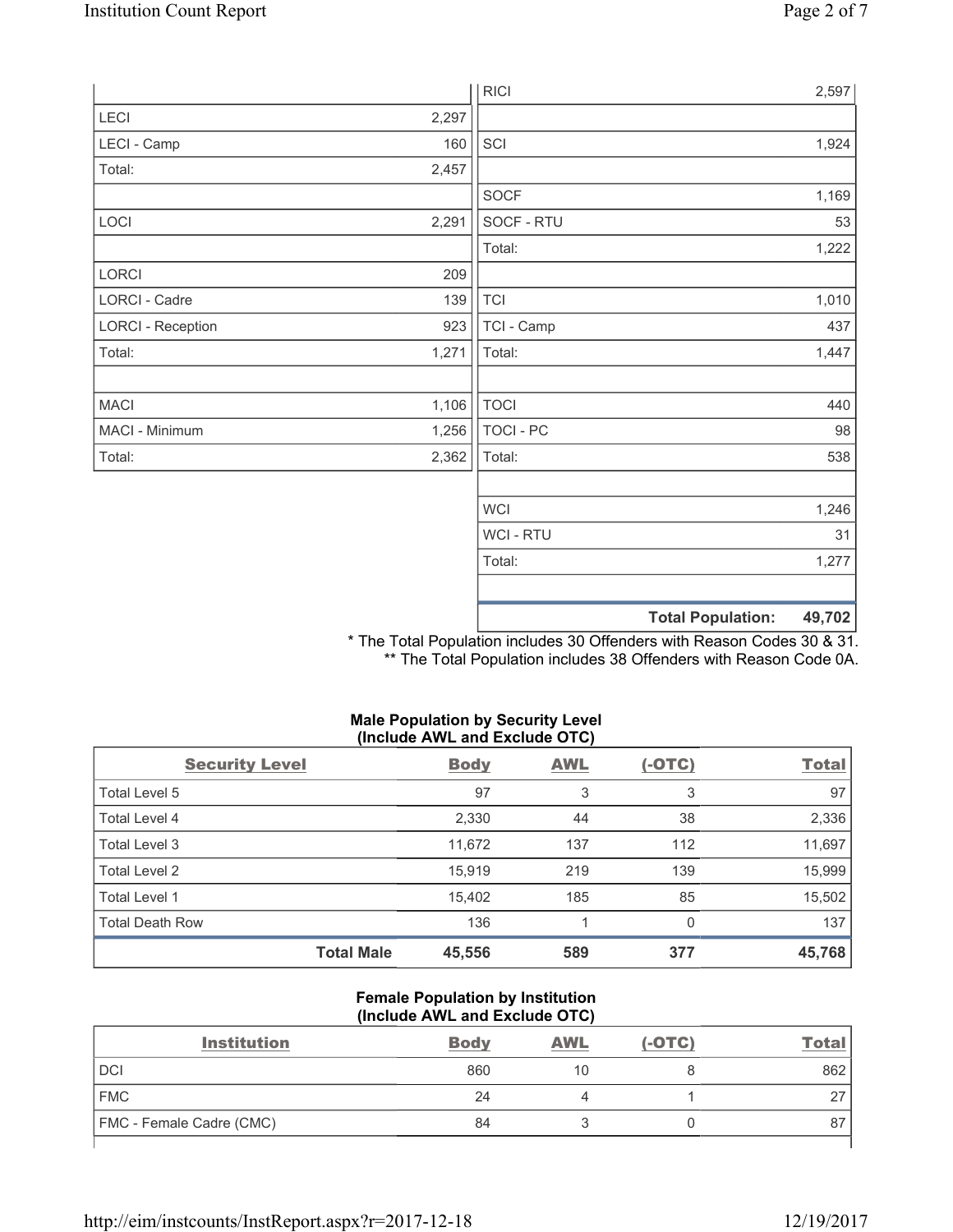|                          |       |                | <b>Total Population:</b><br>49,702 |
|--------------------------|-------|----------------|------------------------------------|
|                          |       |                |                                    |
|                          |       | Total:         | 1,277                              |
|                          |       | <b>WCI-RTU</b> | 31                                 |
|                          |       | <b>WCI</b>     | 1,246                              |
|                          |       |                |                                    |
| Total:                   | 2,362 | Total:         | 538                                |
| MACI - Minimum           | 1,256 | TOCI - PC      | 98                                 |
| <b>MACI</b>              | 1,106 | <b>TOCI</b>    | 440                                |
|                          | 1,271 |                | 1,447                              |
| Total:                   |       | Total:         |                                    |
| <b>LORCI - Reception</b> | 923   | TCI - Camp     | 437                                |
| LORCI - Cadre            | 139   | <b>TCI</b>     | 1,010                              |
| LORCI                    | 209   |                |                                    |
|                          |       | Total:         | 1,222                              |
| LOCI                     | 2,291 | SOCF - RTU     | 53                                 |
| Total:                   | 2,457 | <b>SOCF</b>    | 1,169                              |
| LECI - Camp              | 160   | SCI            | 1,924                              |
| LECI                     | 2,297 |                |                                    |
|                          |       | <b>RICI</b>    | 2,597                              |

\* The Total Population includes 30 Offenders with Reason Codes 30 & 31. \*\* The Total Population includes 38 Offenders with Reason Code 0A.

# **Male Population by Security Level (Include AWL and Exclude OTC)**

| <b>Security Level</b>  |                   | <b>Body</b> | <b>AWL</b> | $(-OTC)$ | <b>Total</b> |
|------------------------|-------------------|-------------|------------|----------|--------------|
| Total Level 5          |                   | 97          | 3          | 3        | 97           |
| Total Level 4          |                   | 2,330       | 44         | 38       | 2,336        |
| Total Level 3          |                   | 11,672      | 137        | 112      | 11,697       |
| Total Level 2          |                   | 15.919      | 219        | 139      | 15,999       |
| Total Level 1          |                   | 15.402      | 185        | 85       | 15,502       |
| <b>Total Death Row</b> |                   | 136         |            | 0        | 137          |
|                        | <b>Total Male</b> | 45,556      | 589        | 377      | 45,768       |

### **Female Population by Institution (Include AWL and Exclude OTC)**

| <b>Institution</b>       | <b>Body</b> | <b>AWL</b> | $(-OTC)$ | Total |
|--------------------------|-------------|------------|----------|-------|
| <b>DCI</b>               | 860         | 10         |          | 862   |
| <b>FMC</b>               | 24          |            |          | ∼     |
| FMC - Female Cadre (CMC) | 84          |            |          | 87    |
|                          |             |            |          |       |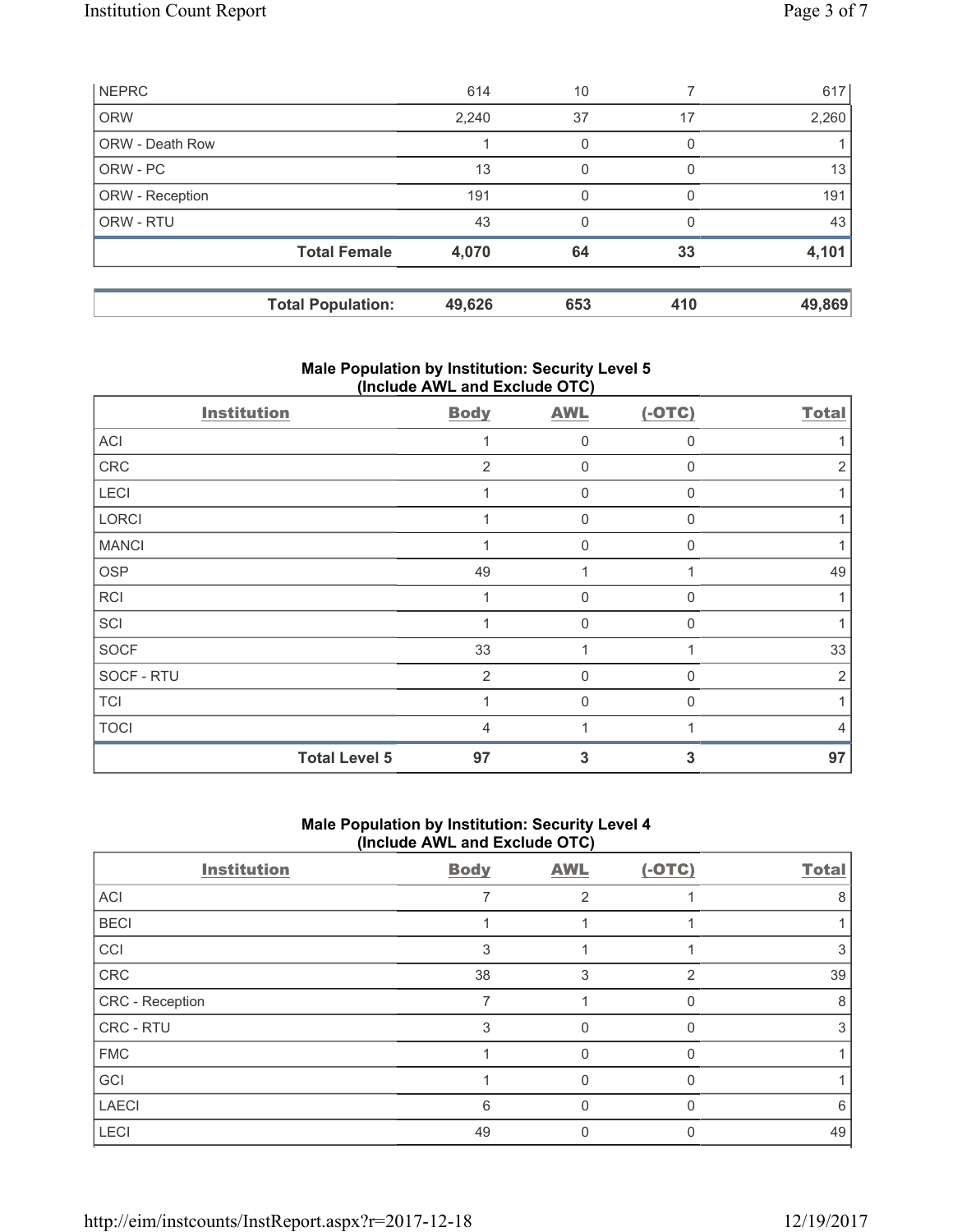| <b>NEPRC</b>           |                          | 614    | 10  |              | 617    |
|------------------------|--------------------------|--------|-----|--------------|--------|
| <b>ORW</b>             |                          | 2,240  | 37  | 17           | 2,260  |
| <b>ORW - Death Row</b> |                          |        | 0   | 0            |        |
| ORW - PC               |                          | 13     | 0   | O            | 13     |
| ORW - Reception        |                          | 191    | 0   | <sup>0</sup> | 191    |
| ORW - RTU              |                          | 43     | 0   | $\Omega$     | 43     |
|                        | <b>Total Female</b>      | 4,070  | 64  | 33           | 4,101  |
|                        |                          |        |     |              |        |
|                        | <b>Total Population:</b> | 49,626 | 653 | 410          | 49,869 |

# **Male Population by Institution: Security Level 5 (Include AWL and Exclude OTC)**

| <b>Institution</b>   | <b>Body</b>    | <b>AWL</b>  | $(-OTC)$     | <b>Total</b> |
|----------------------|----------------|-------------|--------------|--------------|
| ACI                  |                | $\mathbf 0$ | $\Omega$     |              |
| CRC                  | $\overline{2}$ | $\mathbf 0$ | $\Omega$     | 2            |
| LECI                 |                | 0           | $\Omega$     |              |
| LORCI                |                | $\mathbf 0$ | $\Omega$     |              |
| <b>MANCI</b>         |                | $\mathbf 0$ | $\mathbf{0}$ |              |
| <b>OSP</b>           | 49             | 1           |              | 49           |
| <b>RCI</b>           |                | $\mathbf 0$ | $\Omega$     |              |
| SCI                  |                | $\Omega$    | $\Omega$     |              |
| SOCF                 | 33             |             |              | 33           |
| SOCF - RTU           | $\overline{2}$ | 0           | $\Omega$     | 2            |
| <b>TCI</b>           |                | 0           | $\Omega$     |              |
| <b>TOCI</b>          | 4              |             |              | 4            |
| <b>Total Level 5</b> | 97             | 3           | 3            | 97           |

# **Male Population by Institution: Security Level 4 (Include AWL and Exclude OTC)**

| <b>Institution</b> | <b>Body</b> | <b>AWL</b>     | $(-OTC)$      | <b>Total</b> |
|--------------------|-------------|----------------|---------------|--------------|
| ACI                |             | $\overline{2}$ |               | 8            |
| <b>BECI</b>        |             |                |               |              |
| CCI                | 3           |                |               | 3            |
| CRC                | 38          | 3              | $\mathcal{P}$ | 39           |
| CRC - Reception    |             |                |               | 8            |
| CRC - RTU          | 3           |                |               | 3            |
| <b>FMC</b>         |             | $\Omega$       | O             |              |
| GCI                |             | O              |               |              |
| <b>LAECI</b>       | 6           |                |               | 6            |
| LECI               | 49          |                |               | 49           |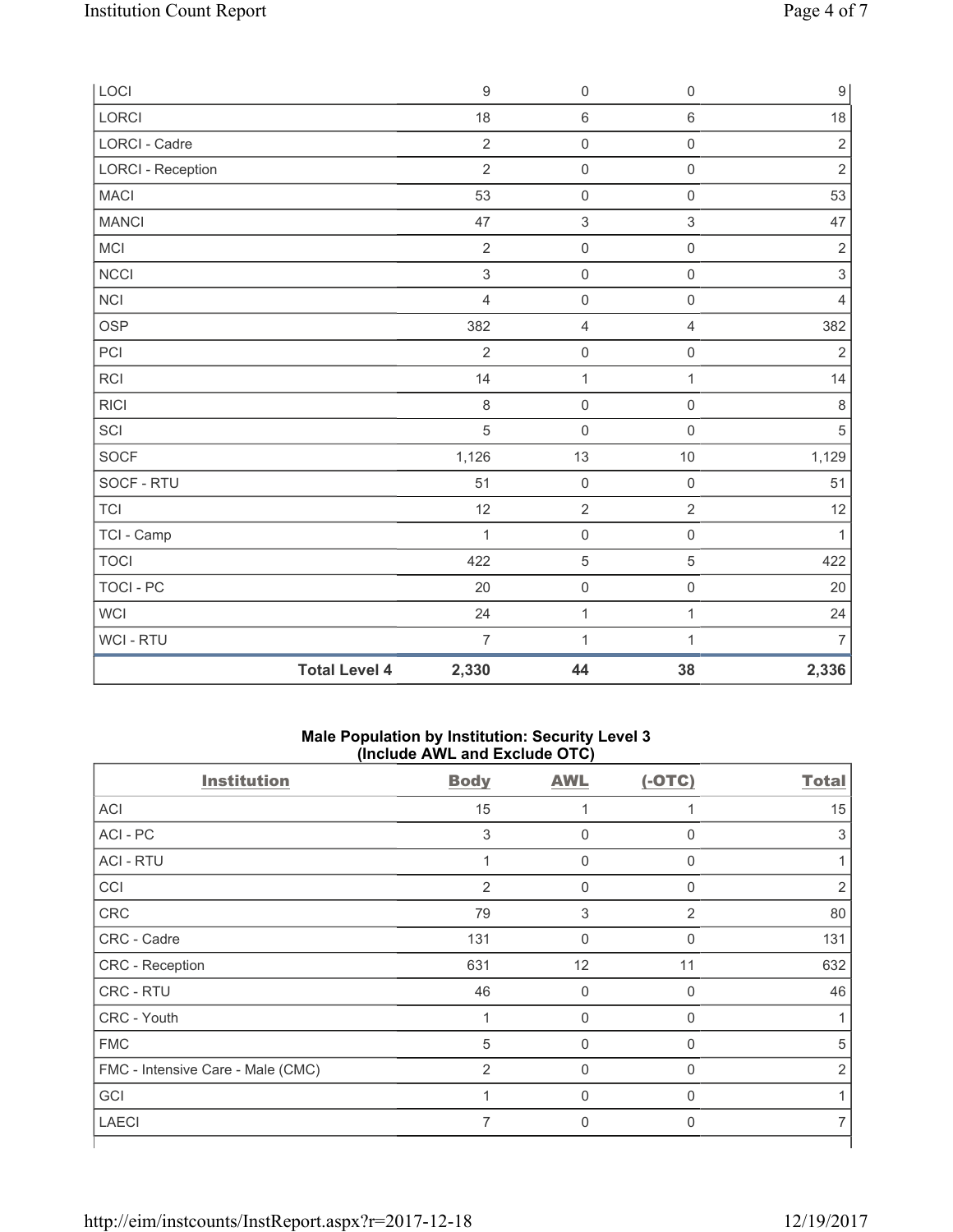| LOCI                     |                      | $9$            | $\mathsf{O}\xspace$       | $\mathsf 0$         | $\boldsymbol{9}$ |
|--------------------------|----------------------|----------------|---------------------------|---------------------|------------------|
| <b>LORCI</b>             |                      | 18             | 6                         | $\,6\,$             | 18               |
| LORCI - Cadre            |                      | $\mathbf 2$    | $\mathsf{O}\xspace$       | $\mathsf 0$         | $\sqrt{2}$       |
| <b>LORCI - Reception</b> |                      | $\overline{2}$ | $\mathsf{O}\xspace$       | $\mathbf 0$         | $\overline{2}$   |
| <b>MACI</b>              |                      | 53             | $\mathsf 0$               | $\mathsf 0$         | 53               |
| <b>MANCI</b>             |                      | 47             | $\ensuremath{\mathsf{3}}$ | $\,$ 3 $\,$         | 47               |
| MCI                      |                      | $\overline{2}$ | $\mathsf 0$               | $\mathsf 0$         | $\sqrt{2}$       |
| <b>NCCI</b>              |                      | $\,$ 3 $\,$    | $\mathsf{O}\xspace$       | $\mathsf 0$         | $\,$ 3 $\,$      |
| <b>NCI</b>               |                      | $\overline{4}$ | $\mathsf{O}\xspace$       | $\mathsf{O}\xspace$ | $\overline{4}$   |
| <b>OSP</b>               |                      | 382            | 4                         | $\overline{4}$      | 382              |
| PCI                      |                      | $\overline{2}$ | $\mathsf 0$               | $\mathsf{O}\xspace$ | $\sqrt{2}$       |
| <b>RCI</b>               |                      | 14             | $\mathbf{1}$              | $\mathbf{1}$        | 14               |
| <b>RICI</b>              |                      | 8              | $\mathsf 0$               | $\mathsf 0$         | $\,8\,$          |
| SCI                      |                      | 5              | $\mathsf{O}\xspace$       | $\mathsf 0$         | $\sqrt{5}$       |
| SOCF                     |                      | 1,126          | 13                        | 10                  | 1,129            |
| SOCF - RTU               |                      | 51             | $\mathsf{O}\xspace$       | $\mathsf 0$         | 51               |
| <b>TCI</b>               |                      | 12             | $\mathbf 2$               | $\overline{2}$      | 12               |
| TCI - Camp               |                      | $\mathbf{1}$   | $\mathsf{O}\xspace$       | $\mathsf{O}\xspace$ | $\mathbf{1}$     |
| <b>TOCI</b>              |                      | 422            | 5                         | 5                   | 422              |
| <b>TOCI - PC</b>         |                      | 20             | $\mathsf{O}\xspace$       | $\mathsf{O}\xspace$ | 20               |
| <b>WCI</b>               |                      | 24             | $\mathbf 1$               | $\mathbf{1}$        | 24               |
| WCI - RTU                |                      | $\overline{7}$ | $\mathbf{1}$              | 1                   | $\overline{7}$   |
|                          | <b>Total Level 4</b> | 2,330          | 44                        | 38                  | 2,336            |

### **Male Population by Institution: Security Level 3 (Include AWL and Exclude OTC)**

| $\mathbf 0$<br>0<br>$\mathbf 0$<br>$\sqrt{3}$ | $\mathbf 0$<br>0<br>$\mathbf 0$<br>$\overline{2}$ | 15<br>3<br>$\overline{2}$ |
|-----------------------------------------------|---------------------------------------------------|---------------------------|
|                                               |                                                   |                           |
|                                               |                                                   |                           |
|                                               |                                                   |                           |
|                                               |                                                   |                           |
|                                               |                                                   | 80                        |
| $\mathbf 0$                                   | $\mathbf 0$                                       | 131                       |
| 12                                            | 11                                                | 632                       |
| $\mathbf 0$                                   | $\mathbf 0$                                       | 46                        |
| $\mathbf 0$                                   | 0                                                 |                           |
| $\mathbf 0$                                   | $\mathbf 0$                                       | 5                         |
| $\mathbf 0$                                   | $\mathbf 0$                                       | $\overline{2}$            |
| $\mathbf 0$                                   | $\mathbf 0$                                       |                           |
|                                               | $\mathbf 0$                                       |                           |
|                                               | 0                                                 |                           |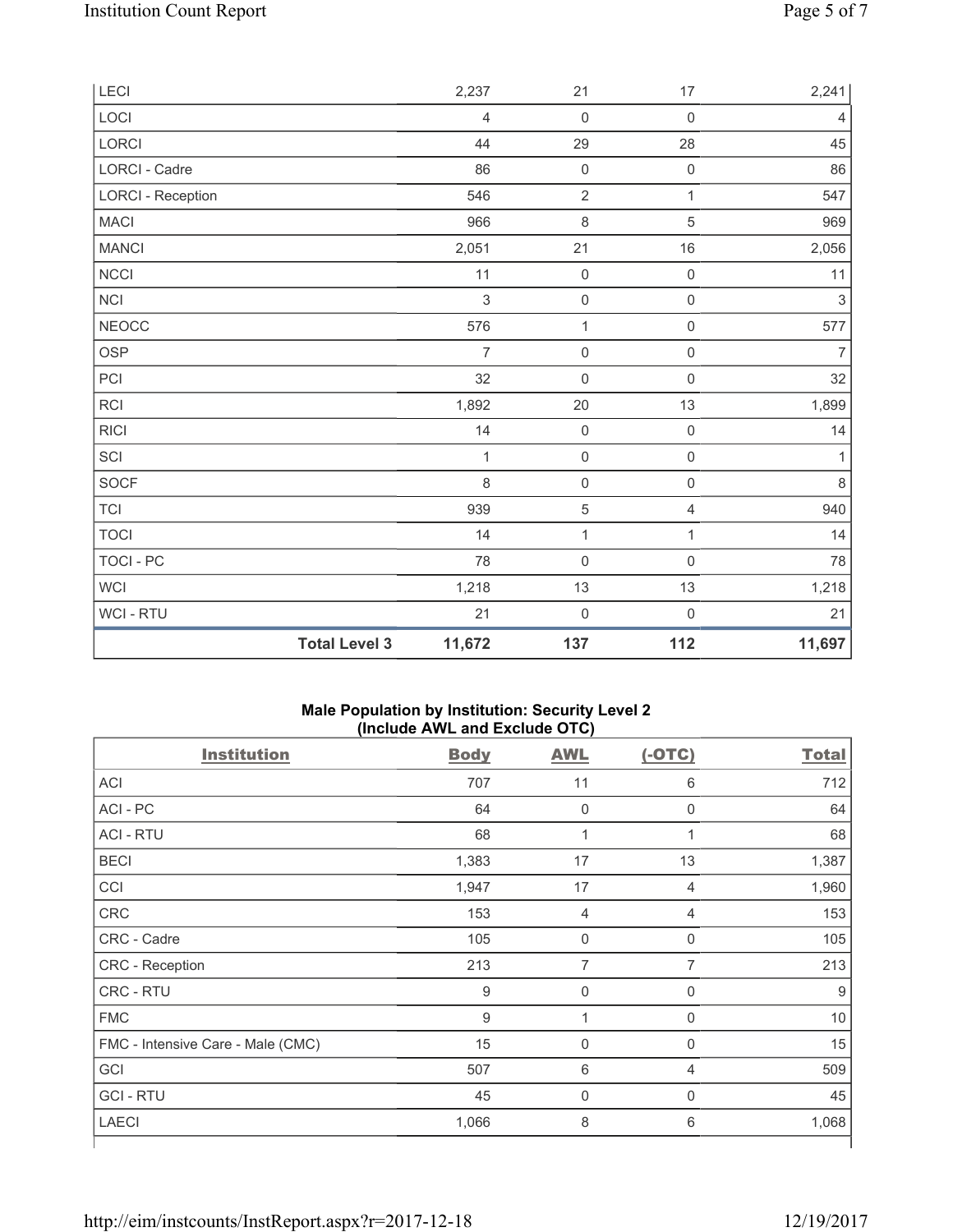| LECI                     |                      | 2,237          | 21                  | 17                  | 2,241          |
|--------------------------|----------------------|----------------|---------------------|---------------------|----------------|
| LOCI                     |                      | $\overline{4}$ | $\mathbf 0$         | $\mathsf{O}\xspace$ | 4              |
| LORCI                    |                      | 44             | 29                  | 28                  | 45             |
| LORCI - Cadre            |                      | 86             | $\mathsf{O}\xspace$ | $\mathsf{O}\xspace$ | 86             |
| <b>LORCI - Reception</b> |                      | 546            | $\sqrt{2}$          | $\mathbf{1}$        | 547            |
| MACI                     |                      | 966            | 8                   | 5                   | 969            |
| <b>MANCI</b>             |                      | 2,051          | 21                  | 16                  | 2,056          |
| NCCI                     |                      | 11             | $\mathsf{O}\xspace$ | $\mathsf{O}\xspace$ | 11             |
| NCI                      |                      | $\mathfrak{S}$ | $\mathsf{O}\xspace$ | $\mathsf{O}\xspace$ | $\sqrt{3}$     |
| <b>NEOCC</b>             |                      | 576            | $\mathbf{1}$        | $\mathsf 0$         | 577            |
| OSP                      |                      | $\overline{7}$ | $\mathsf{O}\xspace$ | $\mathsf{O}\xspace$ | $\overline{7}$ |
| PCI                      |                      | 32             | $\mathsf{O}\xspace$ | $\mathsf 0$         | 32             |
| RCI                      |                      | 1,892          | 20                  | 13                  | 1,899          |
| R C                      |                      | 14             | $\mathbf 0$         | $\mathsf{O}\xspace$ | 14             |
| SCI                      |                      | 1              | $\mathsf{O}\xspace$ | $\mathsf 0$         | 1              |
| SOCF                     |                      | 8              | $\mathsf{O}\xspace$ | $\mathsf{O}\xspace$ | $\,8\,$        |
| TCI                      |                      | 939            | $\mathbf 5$         | 4                   | 940            |
| <b>TOCI</b>              |                      | 14             | $\mathbf{1}$        | $\mathbf{1}$        | 14             |
| TOCI - PC                |                      | 78             | $\mathsf{O}\xspace$ | $\mathsf 0$         | 78             |
| WCI                      |                      | 1,218          | $13$                | $13$                | 1,218          |
| WCI - RTU                |                      | 21             | $\mathsf{O}\xspace$ | 0                   | 21             |
|                          | <b>Total Level 3</b> | 11,672         | 137                 | 112                 | 11,697         |

### **Male Population by Institution: Security Level 2 (Include AWL and Exclude OTC)**

| <b>Institution</b>                | <b>Body</b> | <b>AWL</b>     | $(-OTC)$       | <b>Total</b> |
|-----------------------------------|-------------|----------------|----------------|--------------|
| ACI                               | 707         | 11             | 6              | 712          |
| ACI-PC                            | 64          | $\mathsf 0$    | 0              | 64           |
| <b>ACI - RTU</b>                  | 68          | 1              | 1              | 68           |
| <b>BECI</b>                       | 1,383       | 17             | 13             | 1,387        |
| CCI                               | 1,947       | 17             | 4              | 1,960        |
| CRC                               | 153         | $\overline{4}$ | $\overline{4}$ | 153          |
| CRC - Cadre                       | 105         | $\mathbf 0$    | 0              | 105          |
| CRC - Reception                   | 213         | 7              | 7              | 213          |
| CRC - RTU                         | 9           | $\mathbf 0$    | $\mathbf 0$    | 9            |
| <b>FMC</b>                        | 9           | 1              | $\mathbf 0$    | 10           |
| FMC - Intensive Care - Male (CMC) | 15          | $\mathbf 0$    | $\mathbf 0$    | 15           |
| GCI                               | 507         | $6\,$          | 4              | 509          |
| <b>GCI-RTU</b>                    | 45          | $\mathbf 0$    | $\mathbf 0$    | 45           |
| <b>LAECI</b>                      | 1,066       | $\,8\,$        | 6              | 1,068        |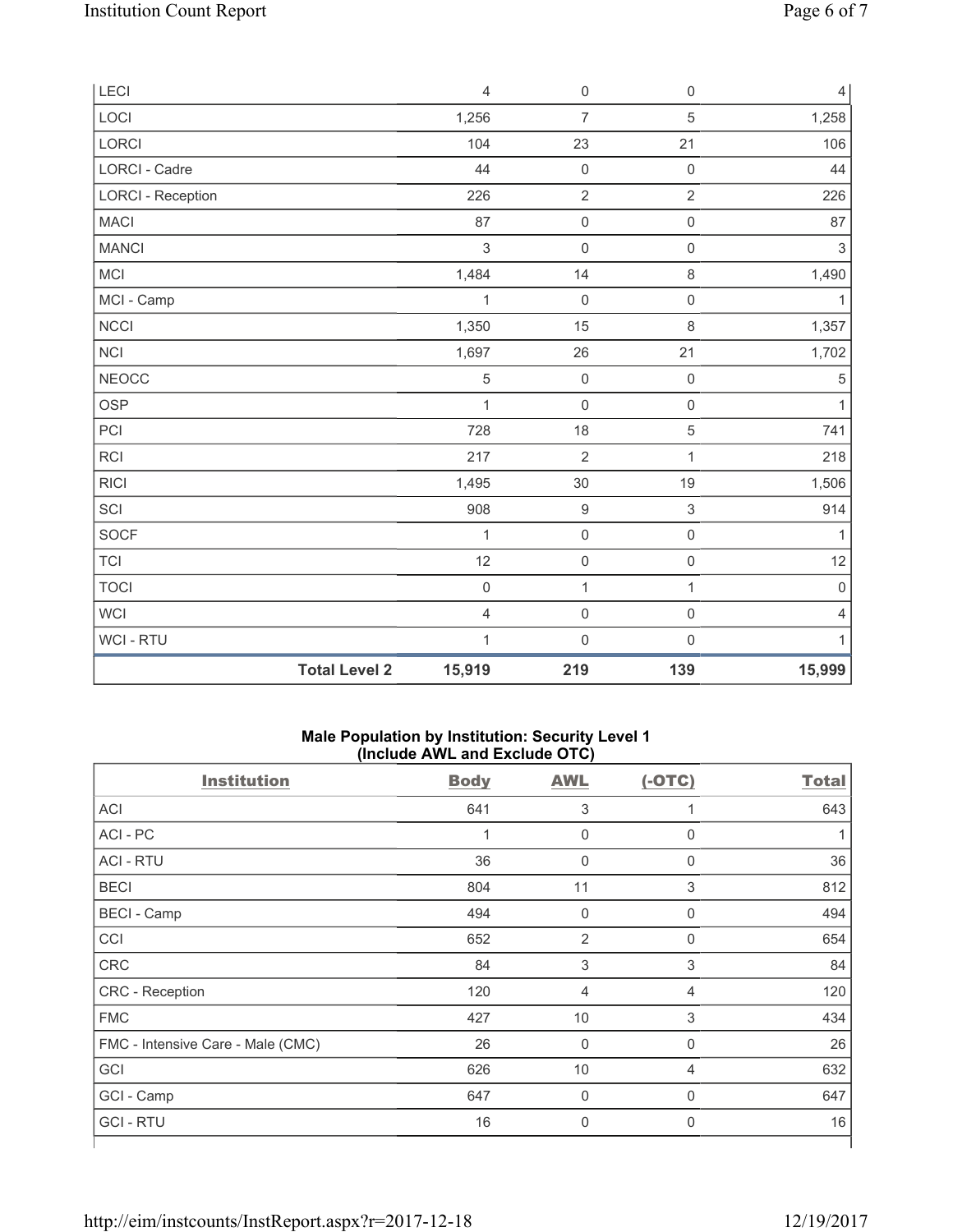| <b>LECI</b>              |                      | $\overline{4}$          | $\mathsf{O}\xspace$ | $\mathsf{O}\xspace$ | $\overline{4}$            |
|--------------------------|----------------------|-------------------------|---------------------|---------------------|---------------------------|
| LOCI                     |                      | 1,256                   | $\overline{7}$      | 5                   | 1,258                     |
| LORCI                    |                      | 104                     | 23                  | 21                  | 106                       |
| <b>LORCI - Cadre</b>     |                      | 44                      | $\mathsf{O}\xspace$ | $\mathsf{O}\xspace$ | 44                        |
| <b>LORCI - Reception</b> |                      | 226                     | $\sqrt{2}$          | $\overline{2}$      | 226                       |
| <b>MACI</b>              |                      | 87                      | $\mathbf 0$         | $\mathsf{O}\xspace$ | 87                        |
| <b>MANCI</b>             |                      | $\mathsf 3$             | $\mathsf{O}\xspace$ | $\mathsf{O}\xspace$ | $\ensuremath{\mathsf{3}}$ |
| <b>MCI</b>               |                      | 1,484                   | 14                  | 8                   | 1,490                     |
| MCI - Camp               |                      | 1                       | $\mathsf{O}\xspace$ | $\mathsf{O}\xspace$ | $\mathbf{1}$              |
| <b>NCCI</b>              |                      | 1,350                   | 15                  | $\,8\,$             | 1,357                     |
| NCI                      |                      | 1,697                   | 26                  | 21                  | 1,702                     |
| <b>NEOCC</b>             |                      | $\sqrt{5}$              | $\mathsf{O}\xspace$ | $\mathsf{O}\xspace$ | $\,$ 5 $\,$               |
| OSP                      |                      | 1                       | $\mathsf{O}\xspace$ | $\mathsf{O}\xspace$ | $\mathbf{1}$              |
| PCI                      |                      | 728                     | 18                  | 5                   | 741                       |
| <b>RCI</b>               |                      | 217                     | $\overline{2}$      | $\mathbf{1}$        | 218                       |
| <b>RICI</b>              |                      | 1,495                   | 30                  | 19                  | 1,506                     |
| SCI                      |                      | 908                     | 9                   | 3                   | 914                       |
| SOCF                     |                      | 1                       | $\mathsf{O}\xspace$ | $\mathsf 0$         | $\mathbf{1}$              |
| <b>TCI</b>               |                      | 12                      | $\mathsf{O}\xspace$ | $\mathsf{O}\xspace$ | 12                        |
| <b>TOCI</b>              |                      | $\mathbf 0$             | 1                   | $\mathbf{1}$        | $\mathbf 0$               |
| <b>WCI</b>               |                      | $\overline{\mathbf{4}}$ | $\mathsf{O}\xspace$ | $\mathsf 0$         | $\overline{4}$            |
| WCI - RTU                |                      | $\mathbf 1$             | $\mathbf 0$         | $\mathsf{O}\xspace$ | $\mathbf{1}$              |
|                          | <b>Total Level 2</b> | 15,919                  | 219                 | 139                 | 15,999                    |

### **Male Population by Institution: Security Level 1 (Include AWL and Exclude OTC)**

| <b>Body</b> | <b>AWL</b>     | $(-OTC)$     | <b>Total</b> |
|-------------|----------------|--------------|--------------|
| 641         | 3              | 1            | 643          |
| 1           | $\mathbf 0$    | $\mathbf 0$  |              |
| 36          | $\pmb{0}$      | 0            | 36           |
| 804         | 11             | 3            | 812          |
| 494         | $\pmb{0}$      | $\mathbf 0$  | 494          |
| 652         | $\overline{2}$ | 0            | 654          |
| 84          | $\sqrt{3}$     | 3            | 84           |
| 120         | 4              | 4            | 120          |
| 427         | 10             | 3            | 434          |
| 26          | $\mathbf 0$    | $\mathbf 0$  | 26           |
| 626         | 10             | 4            | 632          |
| 647         | $\mathbf 0$    | $\mathbf{0}$ | 647          |
| 16          | 0              | 0            | 16           |
|             |                |              |              |